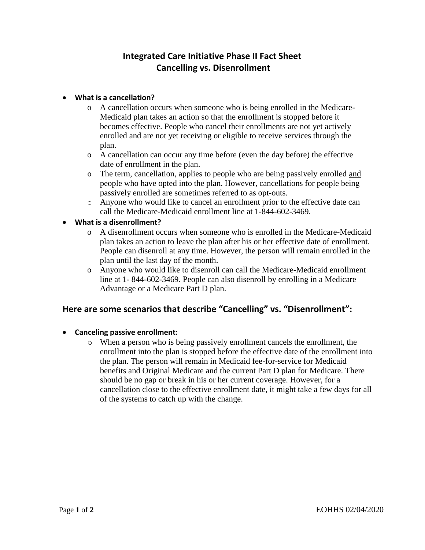# **Integrated Care Initiative Phase II Fact Sheet Cancelling vs. Disenrollment**

#### • **What is a cancellation?**

- o A cancellation occurs when someone who is being enrolled in the Medicare-Medicaid plan takes an action so that the enrollment is stopped before it becomes effective. People who cancel their enrollments are not yet actively enrolled and are not yet receiving or eligible to receive services through the plan.
- o A cancellation can occur any time before (even the day before) the effective date of enrollment in the plan.
- o The term, cancellation, applies to people who are being passively enrolled and people who have opted into the plan. However, cancellations for people being passively enrolled are sometimes referred to as opt-outs.
- o Anyone who would like to cancel an enrollment prior to the effective date can call the Medicare-Medicaid enrollment line at 1-844-602-3469.
- **What is a disenrollment?**
	- o A disenrollment occurs when someone who is enrolled in the Medicare-Medicaid plan takes an action to leave the plan after his or her effective date of enrollment. People can disenroll at any time. However, the person will remain enrolled in the plan until the last day of the month.
	- o Anyone who would like to disenroll can call the Medicare-Medicaid enrollment line at 1- 844-602-3469. People can also disenroll by enrolling in a Medicare Advantage or a Medicare Part D plan.

### **Here are some scenarios that describe "Cancelling" vs. "Disenrollment":**

#### • **Canceling passive enrollment:**

o When a person who is being passively enrollment cancels the enrollment, the enrollment into the plan is stopped before the effective date of the enrollment into the plan. The person will remain in Medicaid fee-for-service for Medicaid benefits and Original Medicare and the current Part D plan for Medicare. There should be no gap or break in his or her current coverage. However, for a cancellation close to the effective enrollment date, it might take a few days for all of the systems to catch up with the change.